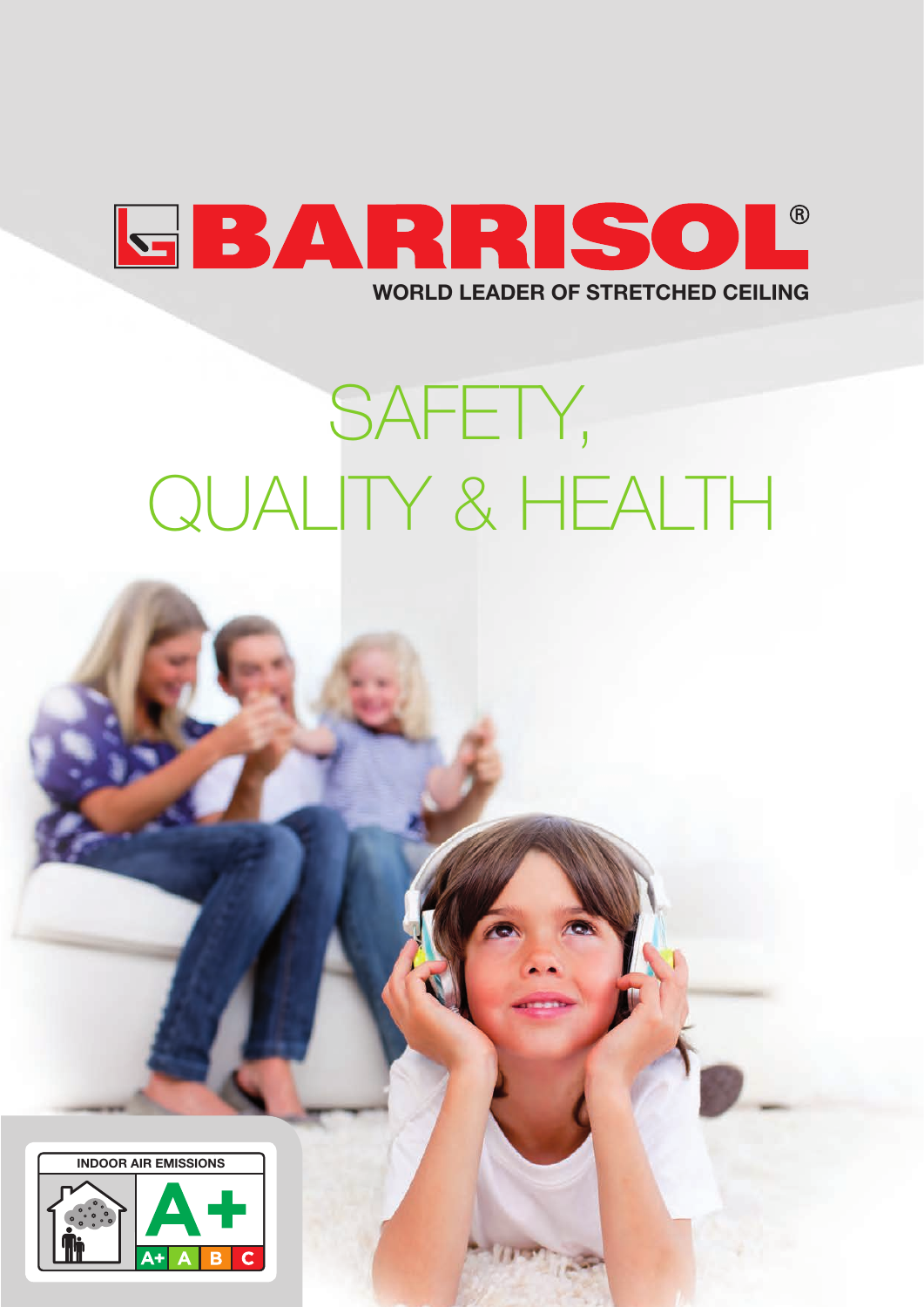

# SAFETY, QUALITY & HEALTH

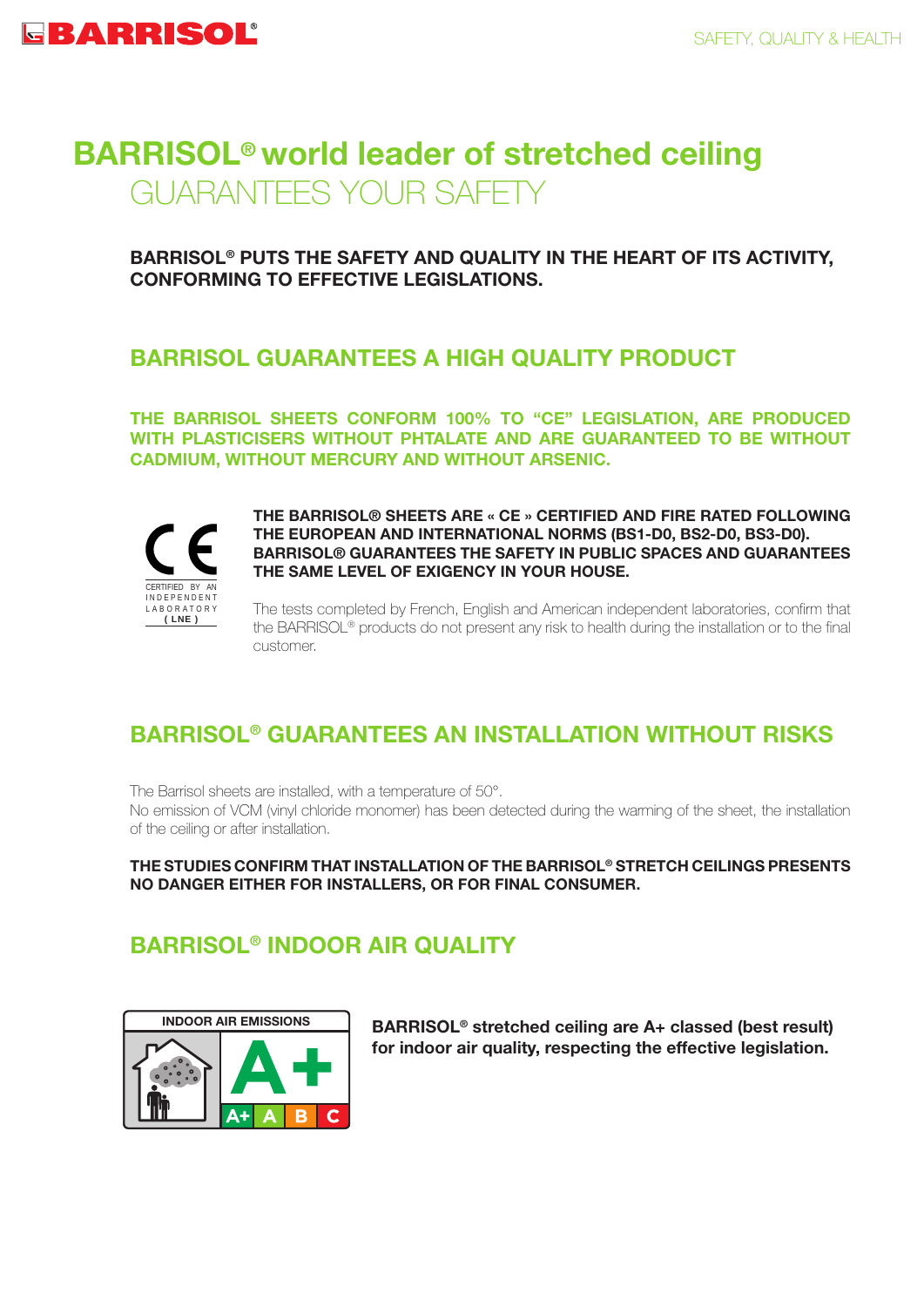# **BARRISOL® world leader of stretched ceiling** GUARANTEES YOUR SAFETY

**BARRISOL® PUTS THE SAFETY AND QUALITY IN THE HEART OF ITS ACTIVITY, CONFORMING TO EFFECTIVE LEGISLATIONS.** 

### **BARRISOL GUARANTEES A HIGH QUALITY PRODUCT**

**THE BARRISOL SHEETS CONFORM 100% TO "CE" LEGISLATION, ARE PRODUCED WITH PLASTICISERS WITHOUT PHTALATE AND ARE GUARANTEED TO BE WITHOUT CADMIUM, WITHOUT MERCURY AND WITHOUT ARSENIC.**



**THE BARRISOL® SHEETS ARE « CE » CERTIFIED AND FIRE RATED FOLLOWING THE EUROPEAN AND INTERNATIONAL NORMS (BS1-D0, BS2-D0, BS3-D0). BARRISOL® GUARANTEES THE SAFETY IN PUBLIC SPACES AND GUARANTEES THE SAME LEVEL OF EXIGENCY IN YOUR HOUSE.**

The tests completed by French, English and American independent laboratories, confirm that the BARRISOL® products do not present any risk to health during the installation or to the final customer.

# **BARRISOL® GUARANTEES AN INSTALLATION WITHOUT RISKS**

The Barrisol sheets are installed, with a temperature of 50°.

No emission of VCM (vinyl chloride monomer) has been detected during the warming of the sheet, the installation of the ceiling or after installation.

**THE STUDIES CONFIRM THAT INSTALLATION OF THE BARRISOL® STRETCH CEILINGS PRESENTS NO DANGER EITHER FOR INSTALLERS, OR FOR FINAL CONSUMER.** 

# **BARRISOL® INDOOR AIR QUALITY**



**BARRISOL® stretched ceiling are A+ classed (best result) for indoor air quality, respecting the effective legislation.**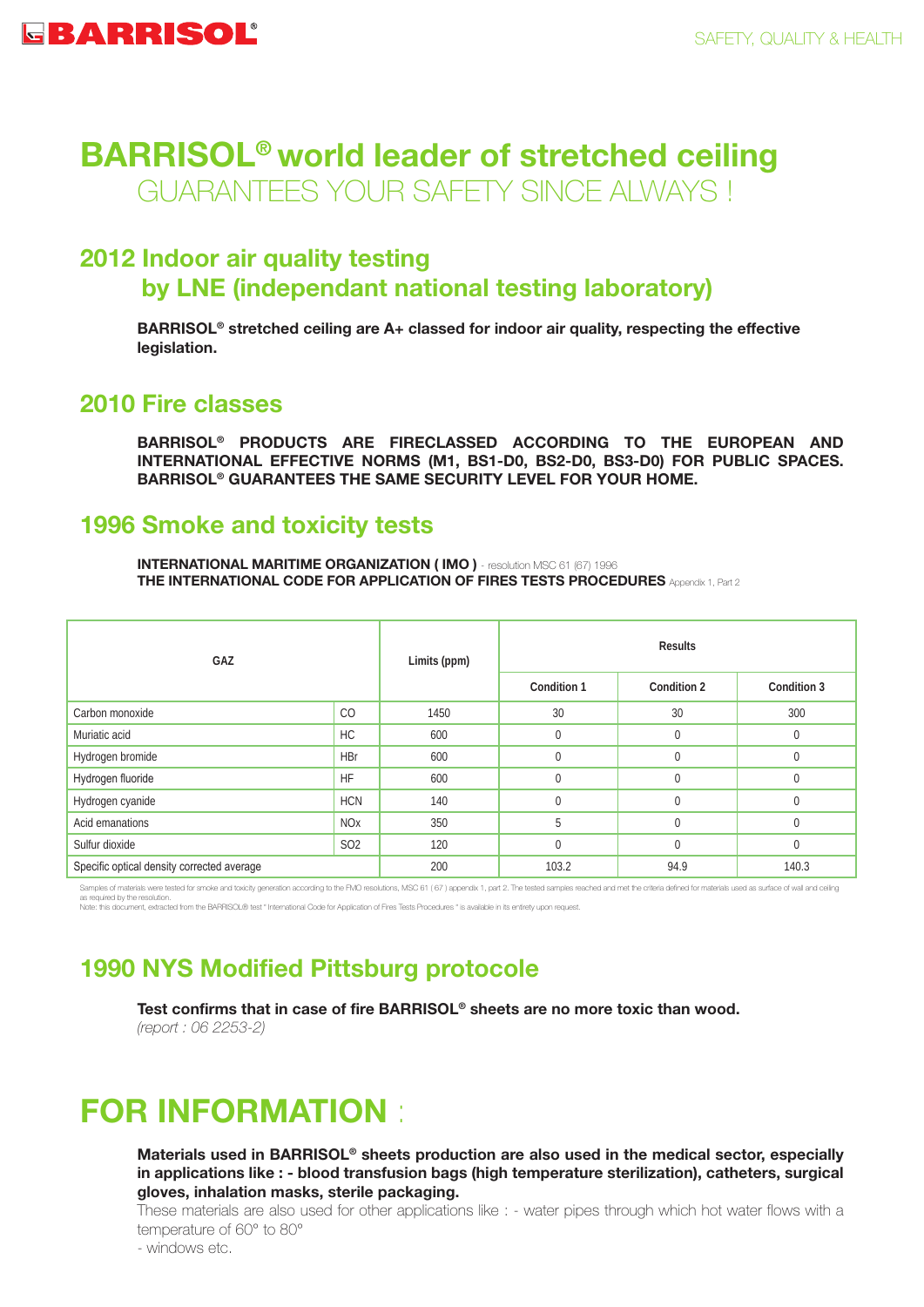# **BARRISOL® world leader of stretched ceiling** GUARANTEES YOUR SAFETY SINCE ALWAYS !

### **2012 Indoor air quality testing by LNE (independant national testing laboratory)**

**BARRISOL® stretched ceiling are A+ classed for indoor air quality, respecting the effective legislation.**

### **2010 Fire classes**

**BARRISOL® PRODUCTS ARE FIRECLASSED ACCORDING TO THE EUROPEAN AND INTERNATIONAL EFFECTIVE NORMS (M1, BS1-D0, BS2-D0, BS3-D0) FOR PUBLIC SPACES. BARRISOL® GUARANTEES THE SAME SECURITY LEVEL FOR YOUR HOME.**

### **1996 Smoke and toxicity tests**

**INTERNATIONAL MARITIME ORGANIZATION (IMO)** - resolution MSC 61 (67) 1996 **THE INTERNATIONAL CODE FOR APPLICATION OF FIRES TESTS PROCEDURES** Appendix 1, Part 2

| GAZ                                        |                       | Limits (ppm) | <b>Results</b> |             |             |
|--------------------------------------------|-----------------------|--------------|----------------|-------------|-------------|
|                                            |                       |              | Condition 1    | Condition 2 | Condition 3 |
| Carbon monoxide                            | CO                    | 1450         | 30             | 30          | 300         |
| Muriatic acid                              | <b>HC</b>             | 600          | $\mathbf 0$    | 0           | $\Omega$    |
| Hydrogen bromide                           | <b>HBr</b>            | 600          | $\mathbf 0$    | 0           | $\Omega$    |
| Hydrogen fluoride                          | <b>HF</b>             | 600          | $\mathbf{0}$   | $\Omega$    | $\Omega$    |
| Hydrogen cyanide                           | <b>HCN</b>            | 140          | $\mathbf{0}$   | $\Omega$    | $\Omega$    |
| Acid emanations                            | <b>NO<sub>x</sub></b> | 350          | 5              | 0           | $\Omega$    |
| Sulfur dioxide                             | S <sub>O</sub> 2      | 120          | $\mathbf{0}$   | 0           | $\Omega$    |
| Specific optical density corrected average |                       | 200          | 103.2          | 94.9        | 140.3       |

ere tested for smoke and toxicity generation according to the FMO resolutions, MSC 61 (67) appendix 1, part 2. The tested samples reached and met the criteria defined for materials used as surface of wall and celling s required by the resolution. as requieu by the resolution.<br>Note: this document, extracted from the BARRISOL® test " International Code for Application of Fires Tests Procedures " is available in its entirety upon request.

# **1990 NYS Modified Pittsburg protocole**

**Test confirms that in case of fire BARRISOL® sheets are no more toxic than wood.** *(report : 06 2253-2)*

# **FOR INFORMATION** :

**Materials used in BARRISOL® sheets production are also used in the medical sector, especially in applications like : - blood transfusion bags (high temperature sterilization), catheters, surgical gloves, inhalation masks, sterile packaging.**

These materials are also used for other applications like : - water pipes through which hot water flows with a temperature of 60° to 80°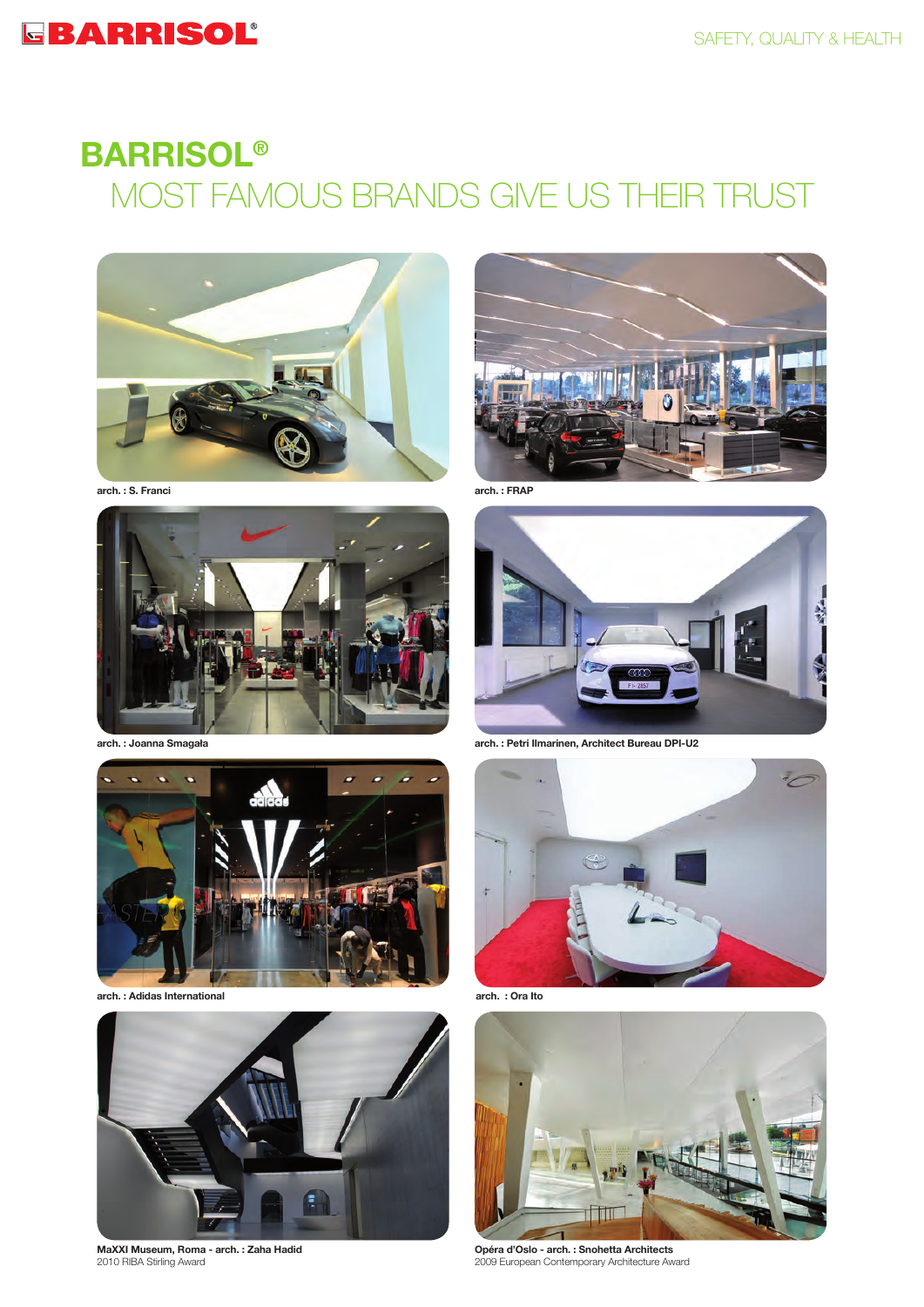# EBARRISOL®

# **BARRISOL®** MOST FAMOUS BRANDS GIVE US THEIR TRUST





**arch. : S. Franci**





**arch. : Adidas International**



**MaXXI Museum, Roma - arch. : Zaha Hadid** 2010 RIBA Stirling Award



**arch. : Joanna Smagała arch. : Petri Ilmarinen, Architect Bureau DPI-U2**



**arch. : Ora Ito**



**Opéra d'Oslo - arch. : Snohetta Architects** 2009 European Contemporary Architecture Award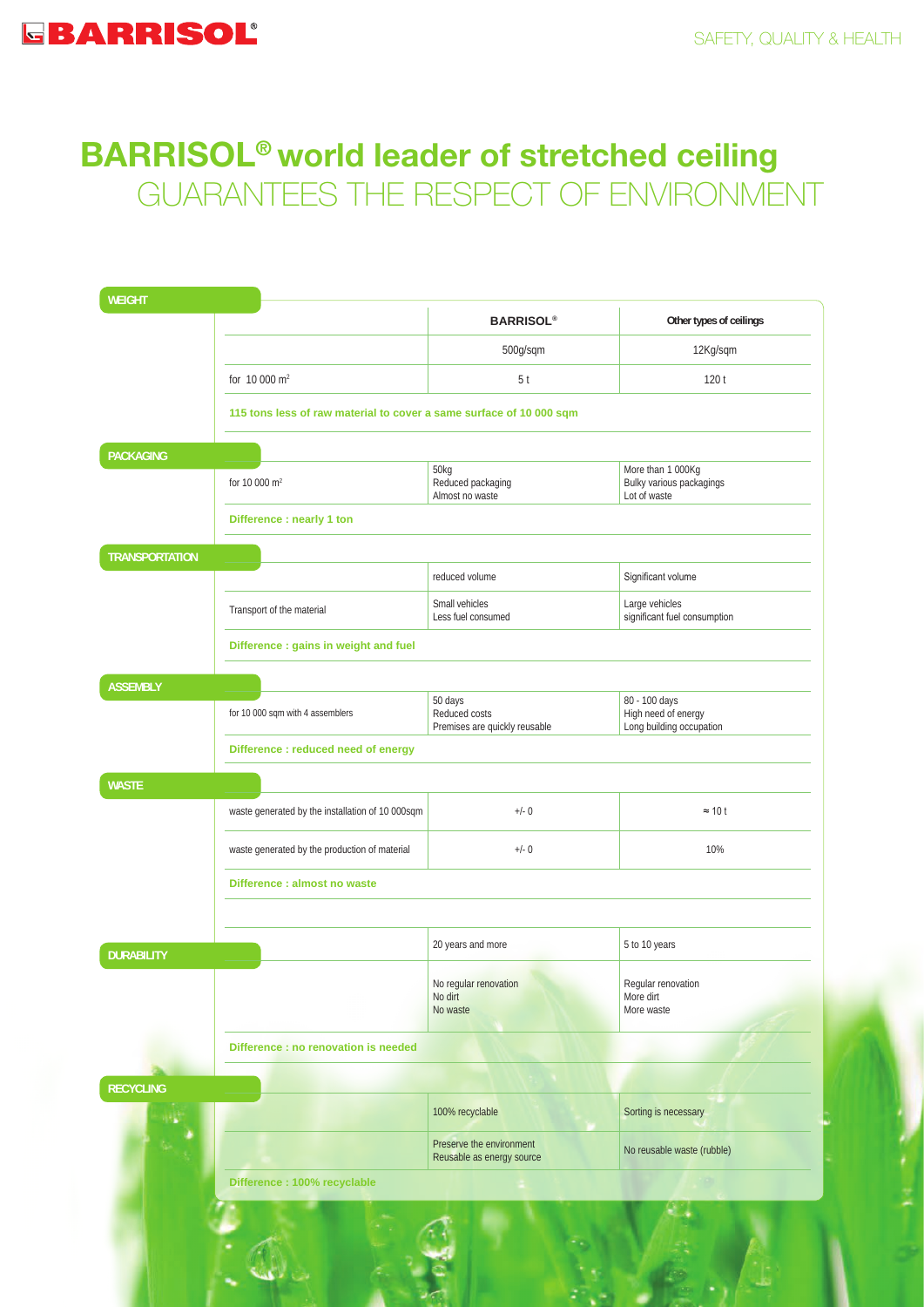# **BARRISOL® world leader of stretched ceiling** GUARANTEES THE RESPECT OF ENVIRONMENT

| <b>WEIGHT</b>         |                                                                     |                                                           |                                                                  |  |  |  |  |
|-----------------------|---------------------------------------------------------------------|-----------------------------------------------------------|------------------------------------------------------------------|--|--|--|--|
|                       |                                                                     | <b>BARRISOL®</b>                                          | Other types of ceilings                                          |  |  |  |  |
|                       |                                                                     | 500g/sqm                                                  | 12Kg/sqm                                                         |  |  |  |  |
|                       | for 10 000 m <sup>2</sup>                                           | 5 <sup>t</sup>                                            | 120t                                                             |  |  |  |  |
|                       | 115 tons less of raw material to cover a same surface of 10 000 sqm |                                                           |                                                                  |  |  |  |  |
| <b>PACKAGING</b>      |                                                                     |                                                           |                                                                  |  |  |  |  |
|                       | for 10 000 m <sup>2</sup>                                           | 50kg<br>Reduced packaging<br>Almost no waste              | More than 1 000Kg<br>Bulky various packagings<br>Lot of waste    |  |  |  |  |
|                       | Difference : nearly 1 ton                                           |                                                           |                                                                  |  |  |  |  |
| <b>TRANSPORTATION</b> |                                                                     |                                                           |                                                                  |  |  |  |  |
|                       |                                                                     | reduced volume                                            | Significant volume                                               |  |  |  |  |
|                       | Transport of the material                                           | Small vehicles<br>Less fuel consumed                      | Large vehicles<br>significant fuel consumption                   |  |  |  |  |
|                       | Difference : gains in weight and fuel                               |                                                           |                                                                  |  |  |  |  |
| <b>ASSEMBLY</b>       |                                                                     |                                                           |                                                                  |  |  |  |  |
|                       | for 10 000 sqm with 4 assemblers                                    | 50 days<br>Reduced costs<br>Premises are quickly reusable | 80 - 100 days<br>High need of energy<br>Long building occupation |  |  |  |  |
|                       | Difference : reduced need of energy                                 |                                                           |                                                                  |  |  |  |  |
| <b>WASTE</b>          |                                                                     |                                                           |                                                                  |  |  |  |  |
|                       | waste generated by the installation of 10 000sqm                    | $+/- 0$                                                   | $\approx$ 10 t                                                   |  |  |  |  |
|                       | waste generated by the production of material                       | $+/- 0$                                                   | 10%                                                              |  |  |  |  |
|                       | Difference : almost no waste                                        |                                                           |                                                                  |  |  |  |  |
|                       |                                                                     | 20 years and more                                         | 5 to 10 years                                                    |  |  |  |  |
| <b>DURABILITY</b>     |                                                                     | No regular renovation<br>No dirt<br>No waste              | Regular renovation<br>More dirt<br>More waste                    |  |  |  |  |
|                       | Difference : no renovation is needed                                |                                                           |                                                                  |  |  |  |  |
| <b>RECYCLING</b>      |                                                                     |                                                           |                                                                  |  |  |  |  |
|                       |                                                                     | 100% recyclable                                           | Sorting is necessary                                             |  |  |  |  |
|                       |                                                                     | Preserve the environment<br>Reusable as energy source     | No reusable waste (rubble)                                       |  |  |  |  |
|                       | Difference : 100% recyclable                                        |                                                           |                                                                  |  |  |  |  |
|                       |                                                                     |                                                           |                                                                  |  |  |  |  |
|                       |                                                                     |                                                           |                                                                  |  |  |  |  |
|                       |                                                                     |                                                           |                                                                  |  |  |  |  |

**RANGE**